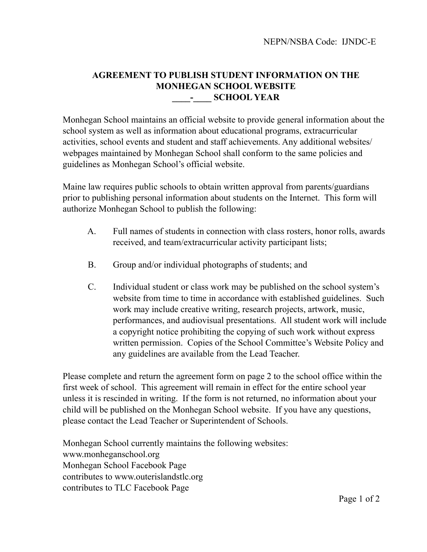## **AGREEMENT TO PUBLISH STUDENT INFORMATION ON THE MONHEGAN SCHOOL WEBSITE \_\_\_\_-\_\_\_\_ SCHOOL YEAR**

Monhegan School maintains an official website to provide general information about the school system as well as information about educational programs, extracurricular activities, school events and student and staff achievements. Any additional websites/ webpages maintained by Monhegan School shall conform to the same policies and guidelines as Monhegan School's official website.

Maine law requires public schools to obtain written approval from parents/guardians prior to publishing personal information about students on the Internet. This form will authorize Monhegan School to publish the following:

- A. Full names of students in connection with class rosters, honor rolls, awards received, and team/extracurricular activity participant lists;
- B. Group and/or individual photographs of students; and
- C. Individual student or class work may be published on the school system's website from time to time in accordance with established guidelines. Such work may include creative writing, research projects, artwork, music, performances, and audiovisual presentations. All student work will include a copyright notice prohibiting the copying of such work without express written permission. Copies of the School Committee's Website Policy and any guidelines are available from the Lead Teacher.

Please complete and return the agreement form on page 2 to the school office within the first week of school. This agreement will remain in effect for the entire school year unless it is rescinded in writing. If the form is not returned, no information about your child will be published on the Monhegan School website. If you have any questions, please contact the Lead Teacher or Superintendent of Schools.

Monhegan School currently maintains the following websites: [www.monheganschool.org](http://www.monheganschool.org) Monhegan School Facebook Page contributes to [www.outerislandstlc.org](http://www.outerislandstlc.org) contributes to TLC Facebook Page